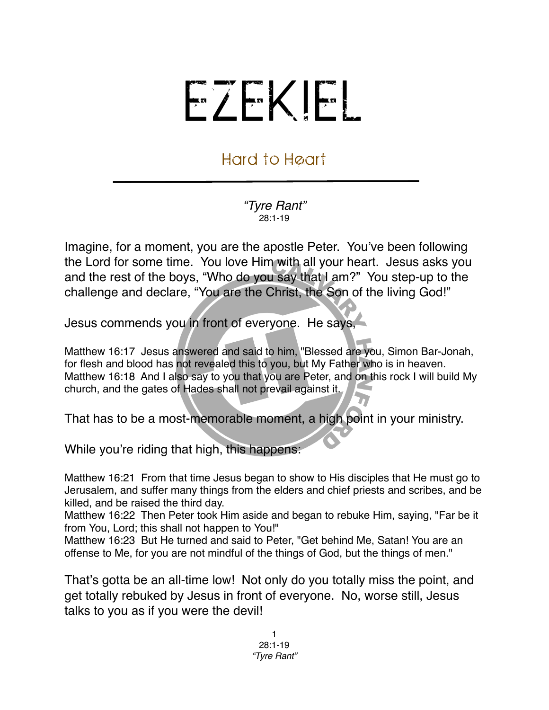## EZEKIEL

## Hard to Heart

*"Tyre Rant"* 28:1-19

Imagine, for a moment, you are the apostle Peter. You've been following the Lord for some time. You love Him with all your heart. Jesus asks you and the rest of the boys, "Who do you say that I am?" You step-up to the challenge and declare, "You are the Christ, the Son of the living God!"

Jesus commends you in front of everyone. He says,

Matthew 16:17 Jesus answered and said to him, "Blessed are you, Simon Bar-Jonah, for flesh and blood has not revealed this to you, but My Father who is in heaven. Matthew 16:18 And I also say to you that you are Peter, and on this rock I will build My church, and the gates of Hades shall not prevail against it.

That has to be a most-memorable moment, a high point in your ministry.

While you're riding that high, this happens:

Matthew 16:21 From that time Jesus began to show to His disciples that He must go to Jerusalem, and suffer many things from the elders and chief priests and scribes, and be killed, and be raised the third day.

Matthew 16:22 Then Peter took Him aside and began to rebuke Him, saying, "Far be it from You, Lord; this shall not happen to You!"

Matthew 16:23 But He turned and said to Peter, "Get behind Me, Satan! You are an offense to Me, for you are not mindful of the things of God, but the things of men."

That's gotta be an all-time low! Not only do you totally miss the point, and get totally rebuked by Jesus in front of everyone. No, worse still, Jesus talks to you as if you were the devil!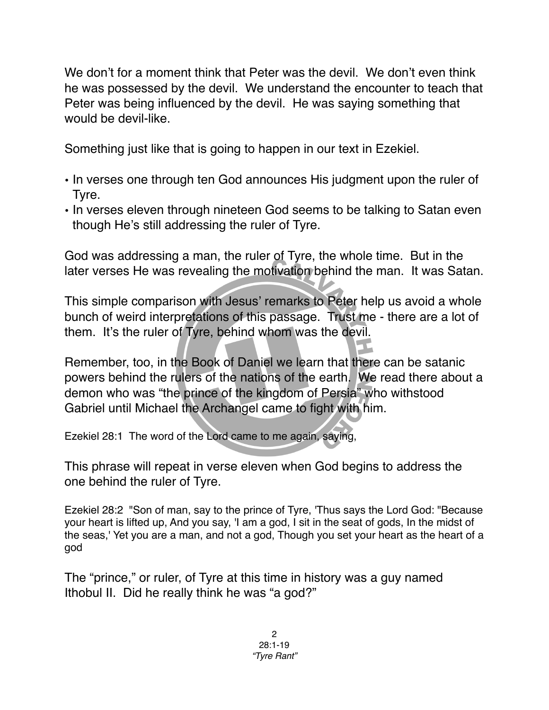We don't for a moment think that Peter was the devil. We don't even think he was possessed by the devil. We understand the encounter to teach that Peter was being influenced by the devil. He was saying something that would be devil-like.

Something just like that is going to happen in our text in Ezekiel.

- In verses one through ten God announces His judgment upon the ruler of Tyre.
- In verses eleven through nineteen God seems to be talking to Satan even though He's still addressing the ruler of Tyre.

God was addressing a man, the ruler of Tyre, the whole time. But in the later verses He was revealing the motivation behind the man. It was Satan.

This simple comparison with Jesus' remarks to Peter help us avoid a whole bunch of weird interpretations of this passage. Trust me - there are a lot of them. It's the ruler of Tyre, behind whom was the devil.

Remember, too, in the Book of Daniel we learn that there can be satanic powers behind the rulers of the nations of the earth. We read there about a demon who was "the prince of the kingdom of Persia" who withstood Gabriel until Michael the Archangel came to fight with him.

Ezekiel 28:1 The word of the Lord came to me again, saying,

This phrase will repeat in verse eleven when God begins to address the one behind the ruler of Tyre.

Ezekiel 28:2 "Son of man, say to the prince of Tyre, 'Thus says the Lord God: "Because your heart is lifted up, And you say, 'I am a god, I sit in the seat of gods, In the midst of the seas,' Yet you are a man, and not a god, Though you set your heart as the heart of a god

The "prince," or ruler, of Tyre at this time in history was a guy named Ithobul II. Did he really think he was "a god?"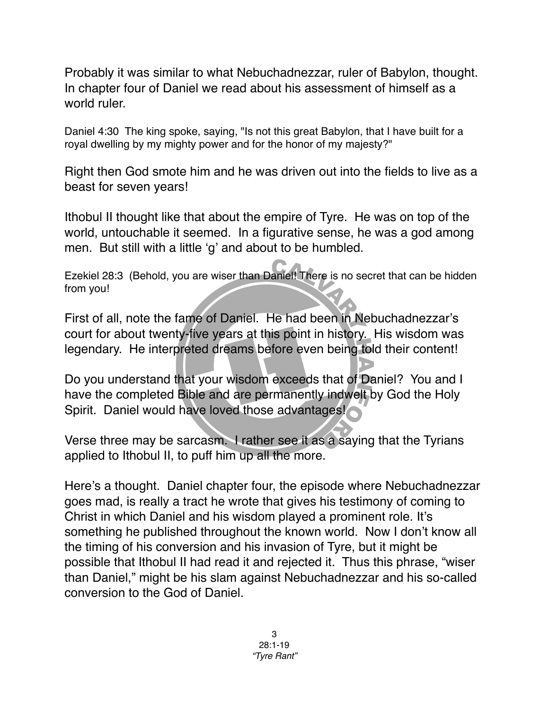Probably it was similar to what Nebuchadnezzar, ruler of Babylon, thought. In chapter four of Daniel we read about his assessment of himself as a world ruler.

Daniel 4:30 The king spoke, saying, "Is not this great Babylon, that I have built for a royal dwelling by my mighty power and for the honor of my majesty?"

Right then God smote him and he was driven out into the fields to live as a beast for seven years!

Ithobul II thought like that about the empire of Tyre. He was on top of the world, untouchable it seemed. In a figurative sense, he was a god among men. But still with a little ʻg' and about to be humbled.

Ezekiel 28:3 (Behold, you are wiser than Daniel! There is no secret that can be hidden from you!

First of all, note the fame of Daniel. He had been in Nebuchadnezzar's court for about twenty-five years at this point in history. His wisdom was legendary. He interpreted dreams before even being told their content!

Do you understand that your wisdom exceeds that of Daniel? You and I have the completed Bible and are permanently indwelt by God the Holy Spirit. Daniel would have loved those advantages!

Verse three may be sarcasm. I rather see it as a saying that the Tyrians applied to Ithobul II, to puff him up all the more.

Here's a thought. Daniel chapter four, the episode where Nebuchadnezzar goes mad, is really a tract he wrote that gives his testimony of coming to Christ in which Daniel and his wisdom played a prominent role. It's something he published throughout the known world. Now I don't know all the timing of his conversion and his invasion of Tyre, but it might be possible that Ithobul II had read it and rejected it. Thus this phrase, "wiser than Daniel," might be his slam against Nebuchadnezzar and his so-called conversion to the God of Daniel.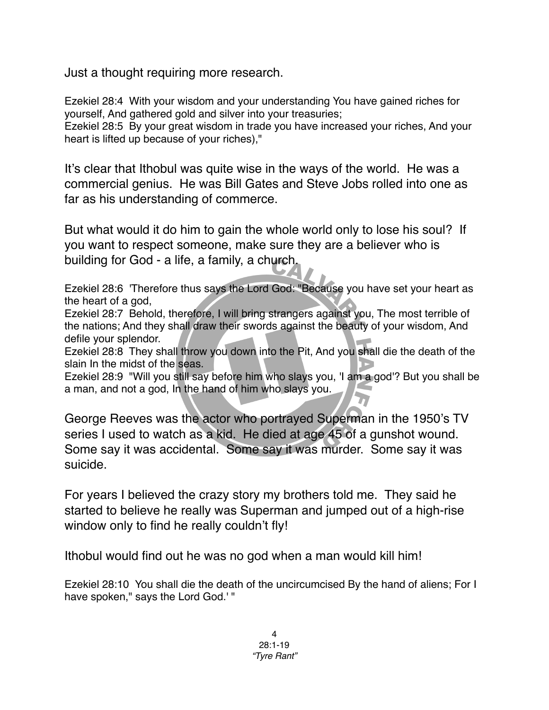Just a thought requiring more research.

Ezekiel 28:4 With your wisdom and your understanding You have gained riches for yourself, And gathered gold and silver into your treasuries;

Ezekiel 28:5 By your great wisdom in trade you have increased your riches, And your heart is lifted up because of your riches),"

It's clear that Ithobul was quite wise in the ways of the world. He was a commercial genius. He was Bill Gates and Steve Jobs rolled into one as far as his understanding of commerce.

But what would it do him to gain the whole world only to lose his soul? If you want to respect someone, make sure they are a believer who is building for God - a life, a family, a church.

Ezekiel 28:6 'Therefore thus says the Lord God: "Because you have set your heart as the heart of a god,

Ezekiel 28:7 Behold, therefore, I will bring strangers against you, The most terrible of the nations; And they shall draw their swords against the beauty of your wisdom, And defile your splendor.

Ezekiel 28:8 They shall throw you down into the Pit, And you shall die the death of the slain In the midst of the seas.

Ezekiel 28:9 "Will you still say before him who slays you, 'I am a god'? But you shall be a man, and not a god, In the hand of him who slays you.

George Reeves was the actor who portrayed Superman in the 1950's TV series I used to watch as a kid. He died at age 45 of a gunshot wound. Some say it was accidental. Some say it was murder. Some say it was suicide.

For years I believed the crazy story my brothers told me. They said he started to believe he really was Superman and jumped out of a high-rise window only to find he really couldn't fly!

Ithobul would find out he was no god when a man would kill him!

Ezekiel 28:10 You shall die the death of the uncircumcised By the hand of aliens; For I have spoken," says the Lord God.' "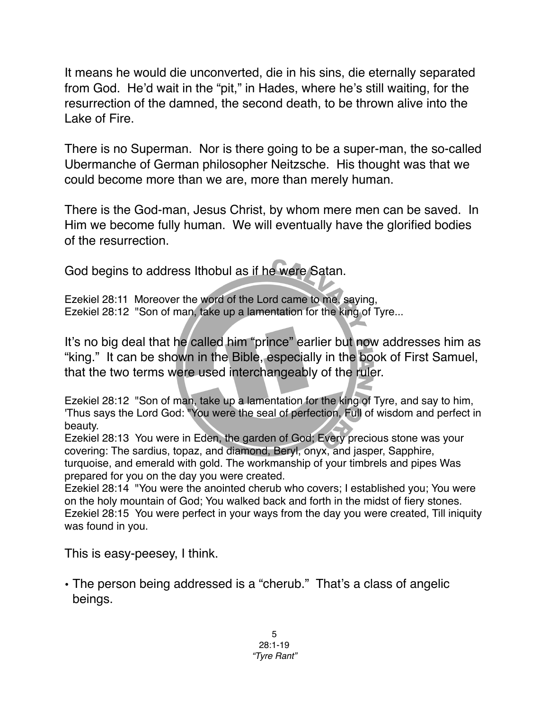It means he would die unconverted, die in his sins, die eternally separated from God. He'd wait in the "pit," in Hades, where he's still waiting, for the resurrection of the damned, the second death, to be thrown alive into the Lake of Fire.

There is no Superman. Nor is there going to be a super-man, the so-called Ubermanche of German philosopher Neitzsche. His thought was that we could become more than we are, more than merely human.

There is the God-man, Jesus Christ, by whom mere men can be saved. In Him we become fully human. We will eventually have the glorified bodies of the resurrection.

God begins to address Ithobul as if he were Satan.

Ezekiel 28:11 Moreover the word of the Lord came to me, saying, Ezekiel 28:12 "Son of man, take up a lamentation for the king of Tyre...

It's no big deal that he called him "prince" earlier but now addresses him as "king." It can be shown in the Bible, especially in the book of First Samuel, that the two terms were used interchangeably of the ruler.

Ezekiel 28:12 "Son of man, take up a lamentation for the king of Tyre, and say to him, 'Thus says the Lord God: "You were the seal of perfection, Full of wisdom and perfect in beauty.

Ezekiel 28:13 You were in Eden, the garden of God; Every precious stone was your covering: The sardius, topaz, and diamond, Beryl, onyx, and jasper, Sapphire, turquoise, and emerald with gold. The workmanship of your timbrels and pipes Was prepared for you on the day you were created.

Ezekiel 28:14 "You were the anointed cherub who covers; I established you; You were on the holy mountain of God; You walked back and forth in the midst of fiery stones. Ezekiel 28:15 You were perfect in your ways from the day you were created, Till iniquity was found in you.

This is easy-peesey, I think.

• The person being addressed is a "cherub." That's a class of angelic beings.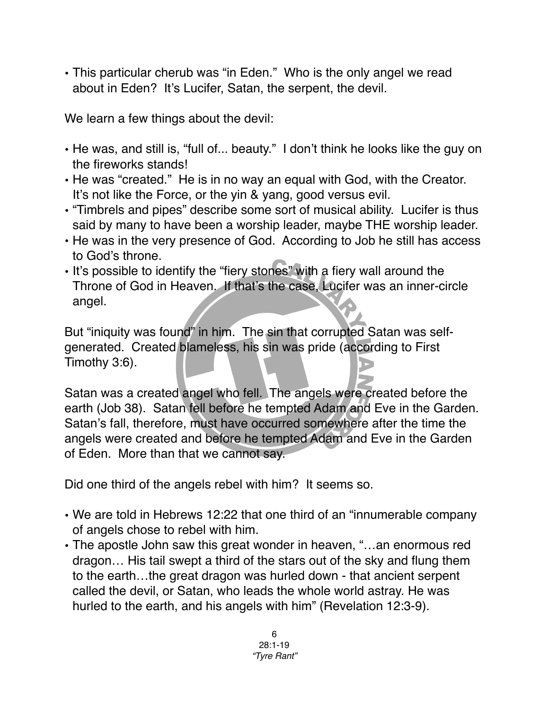• This particular cherub was "in Eden." Who is the only angel we read about in Eden? It's Lucifer, Satan, the serpent, the devil.

We learn a few things about the devil:

- He was, and still is, "full of... beauty." I don't think he looks like the guy on the fireworks stands!
- He was "created." He is in no way an equal with God, with the Creator. It's not like the Force, or the yin & yang, good versus evil.
- "Timbrels and pipes" describe some sort of musical ability. Lucifer is thus said by many to have been a worship leader, maybe THE worship leader.
- He was in the very presence of God. According to Job he still has access to God's throne.
- It's possible to identify the "fiery stones" with a fiery wall around the Throne of God in Heaven. If that's the case, Lucifer was an inner-circle angel.

But "iniquity was found" in him. The sin that corrupted Satan was selfgenerated. Created blameless, his sin was pride (according to First Timothy 3:6).

Satan was a created angel who fell. The angels were created before the earth (Job 38). Satan fell before he tempted Adam and Eve in the Garden. Satan's fall, therefore, must have occurred somewhere after the time the angels were created and before he tempted Adam and Eve in the Garden of Eden. More than that we cannot say.

Did one third of the angels rebel with him? It seems so.

- We are told in Hebrews 12:22 that one third of an "innumerable company of angels chose to rebel with him.
- The apostle John saw this great wonder in heaven, "…an enormous red dragon… His tail swept a third of the stars out of the sky and flung them to the earth…the great dragon was hurled down - that ancient serpent called the devil, or Satan, who leads the whole world astray. He was hurled to the earth, and his angels with him" [\(Revelation 12:3-9\)](http://bible.logos.com/passage/niv/Revelation%2012.3-9).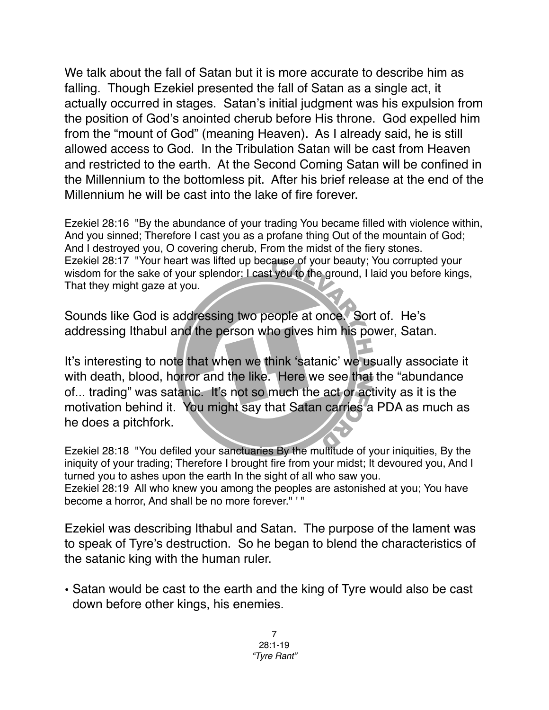We talk about the fall of Satan but it is more accurate to describe him as falling. Though Ezekiel presented the fall of Satan as a single act, it actually occurred in stages. Satan's initial judgment was his expulsion from the position of God's anointed cherub before His throne. God expelled him from the "mount of God" (meaning Heaven). As I already said, he is still allowed access to God. In the Tribulation Satan will be cast from Heaven and restricted to the earth. At the Second Coming Satan will be confined in the Millennium to the bottomless pit. After his brief release at the end of the Millennium he will be cast into the lake of fire forever.

Ezekiel 28:16 "By the abundance of your trading You became filled with violence within, And you sinned; Therefore I cast you as a profane thing Out of the mountain of God; And I destroyed you, O covering cherub, From the midst of the fiery stones. Ezekiel 28:17 "Your heart was lifted up because of your beauty; You corrupted your wisdom for the sake of your splendor; I cast you to the ground, I laid you before kings, That they might gaze at you.

Sounds like God is addressing two people at once. Sort of. He's addressing Ithabul and the person who gives him his power, Satan.

It's interesting to note that when we think ʻsatanic' we usually associate it with death, blood, horror and the like. Here we see that the "abundance of... trading" was satanic. It's not so much the act or activity as it is the motivation behind it. You might say that Satan carries a PDA as much as he does a pitchfork.

Ezekiel 28:18 "You defiled your sanctuaries By the multitude of your iniquities, By the iniquity of your trading; Therefore I brought fire from your midst; It devoured you, And I turned you to ashes upon the earth In the sight of all who saw you. Ezekiel 28:19 All who knew you among the peoples are astonished at you; You have become a horror, And shall be no more forever." ' "

Ezekiel was describing Ithabul and Satan. The purpose of the lament was to speak of Tyre's destruction. So he began to blend the characteristics of the satanic king with the human ruler.

• Satan would be cast to the earth and the king of Tyre would also be cast down before other kings, his enemies.